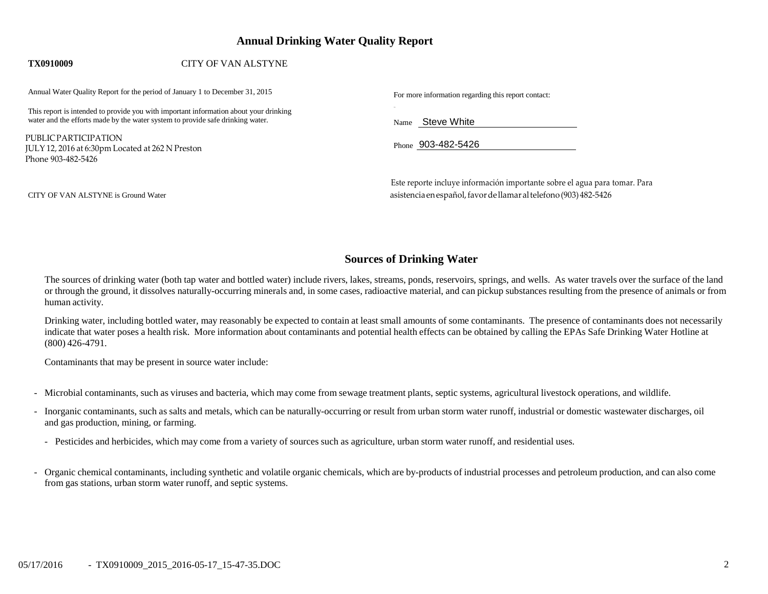# **Annual Drinking Water Quality Report**

## **TX0910009** CITY OF VAN ALSTYNE

Annual Water Quality Report for the period of January 1 to December 31, 2015 For more information regarding this report contact:

This report is intended to provide you with important information about your drinking water and the efforts made by the water system to provide safe drinking water.

PUBLICPARTICIPATION JULY 12, 2016 at 6:30pm Located at 262 N Preston Phone 903-482-5426

Name Steve White

Phone 903-482-5426

CITY OF VAN ALSTYNE is Ground Water

Este reporte incluye información importante sobre el agua para tomar. Para asistencia enespañol,favordellamar altelefono (903) 482-5426

# **Sources of Drinking Water**

The sources of drinking water (both tap water and bottled water) include rivers, lakes, streams, ponds, reservoirs, springs, and wells. As water travels over the surface of the land or through the ground, it dissolves naturally-occurring minerals and, in some cases, radioactive material, and can pickup substances resulting from the presence of animals or from human activity.

Drinking water, including bottled water, may reasonably be expected to contain at least small amounts of some contaminants. The presence of contaminants does not necessarily indicate that water poses a health risk. More information about contaminants and potential health effects can be obtained by calling the EPAs Safe Drinking Water Hotline at (800) 426-4791.

Contaminants that may be present in source water include:

- Microbial contaminants, such as viruses and bacteria, which may come from sewage treatment plants, septic systems, agricultural livestock operations, and wildlife.
- Inorganic contaminants, such as salts and metals, which can be naturally-occurring or result from urban storm water runoff, industrial or domestic wastewater discharges, oil and gas production, mining, or farming.
	- Pesticides and herbicides, which may come from a variety of sources such as agriculture, urban storm water runoff, and residential uses.
- Organic chemical contaminants, including synthetic and volatile organic chemicals, which are by-products of industrial processes and petroleum production, and can also come from gas stations, urban storm water runoff, and septic systems.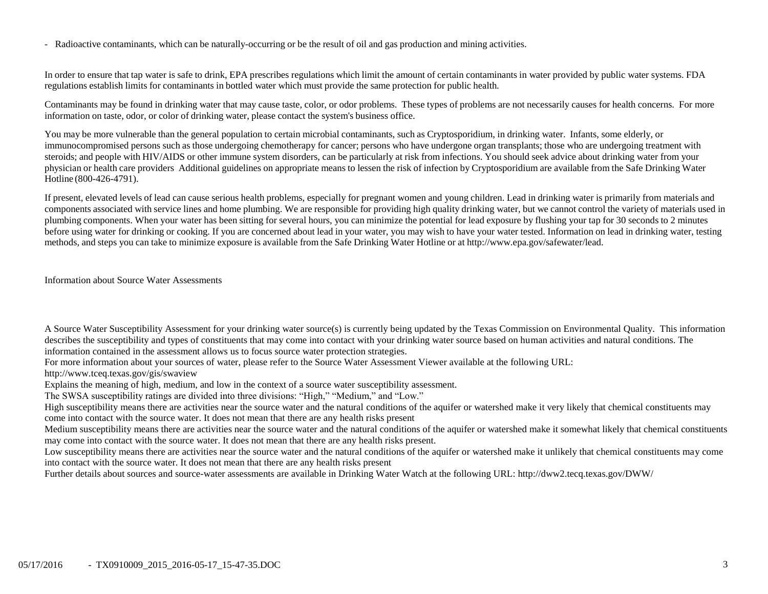- Radioactive contaminants, which can be naturally-occurring or be the result of oil and gas production and mining activities.

In order to ensure that tap water is safe to drink, EPA prescribes regulations which limit the amount of certain contaminants in water provided by public water systems. FDA regulations establish limits for contaminants in bottled water which must provide the same protection for public health.

Contaminants may be found in drinking water that may cause taste, color, or odor problems. These types of problems are not necessarily causes for health concerns. For more information on taste, odor, or color of drinking water, please contact the system's business office.

You may be more vulnerable than the general population to certain microbial contaminants, such as Cryptosporidium, in drinking water. Infants, some elderly, or immunocompromised persons such as those undergoing chemotherapy for cancer; persons who have undergone organ transplants; those who are undergoing treatment with steroids; and people with HIV/AIDS or other immune system disorders, can be particularly at risk from infections. You should seek advice about drinking water from your physician or health care providers Additional guidelines on appropriate means to lessen the risk of infection by Cryptosporidium are available from the Safe Drinking Water Hotline (800-426-4791).

If present, elevated levels of lead can cause serious health problems, especially for pregnant women and young children. Lead in drinking water is primarily from materials and components associated with service lines and home plumbing. We are responsible for providing high quality drinking water, but we cannot control the variety of materials used in plumbing components. When your water has been sitting for several hours, you can minimize the potential for lead exposure by flushing your tap for 30 seconds to 2 minutes before using water for drinking or cooking. If you are concerned about lead in your water, you may wish to have your water tested. Information on lead in drinking water, testing methods, and steps you can take to minimize exposure is available from the Safe Drinking Water Hotline or at [http://www.epa.gov/safewater/lead.](http://www.epa.gov/safewater/lead)

Information about Source Water Assessments

A Source Water Susceptibility Assessment for your drinking water source(s) is currently being updated by the Texas Commission on Environmental Quality. This information describes the susceptibility and types of constituents that may come into contact with your drinking water source based on human activities and natural conditions. The information contained in the assessment allows us to focus source water protection strategies.

For more information about your sources of water, please refer to the Source Water Assessment Viewer available at the following URL:

http://www.tceq.texas.gov/gis/swaview

Explains the meaning of high, medium, and low in the context of a source water susceptibility assessment.

The SWSA susceptibility ratings are divided into three divisions: "High," "Medium," and "Low."

High susceptibility means there are activities near the source water and the natural conditions of the aquifer or watershed make it very likely that chemical constituents may come into contact with the source water. It does not mean that there are any health risks present

Medium susceptibility means there are activities near the source water and the natural conditions of the aquifer or watershed make it somewhat likely that chemical constituents may come into contact with the source water. It does not mean that there are any health risks present.

Low susceptibility means there are activities near the source water and the natural conditions of the aquifer or watershed make it unlikely that chemical constituents may come into contact with the source water. It does not mean that there are any health risks present

Further details about sources and source-water assessments are available in Drinking Water Watch at the following URL: http://dww2.tecq.texas.gov/DWW/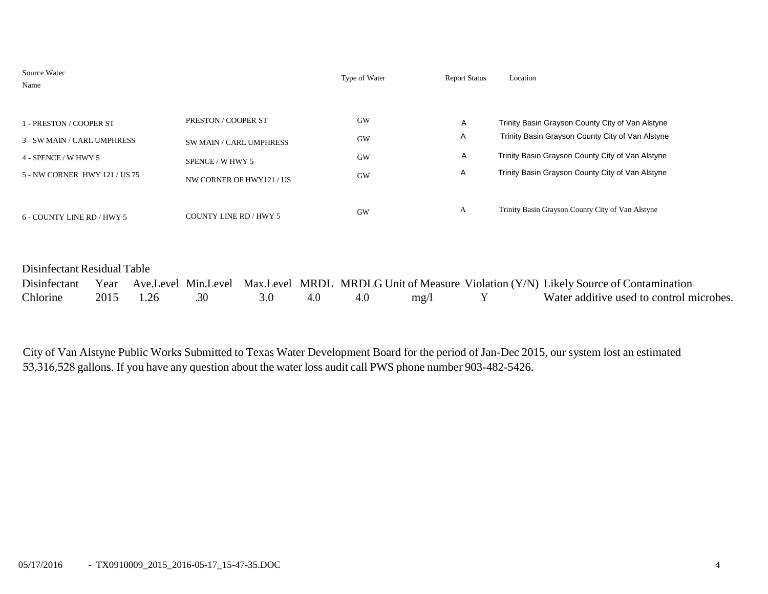| Source Water<br>Name                                                                                            |                                                                                                | Type of Water                             | <b>Report Status</b> | Location                                                                                                                                                                                                     |
|-----------------------------------------------------------------------------------------------------------------|------------------------------------------------------------------------------------------------|-------------------------------------------|----------------------|--------------------------------------------------------------------------------------------------------------------------------------------------------------------------------------------------------------|
| 1 - PRESTON / COOPER ST<br>3 - SW MAIN / CARL UMPHRESS<br>4 - SPENCE / W HWY 5<br>5 - NW CORNER HWY 121 / US 75 | PRESTON / COOPER ST<br>SW MAIN / CARL UMPHRESS<br>SPENCE / W HWY 5<br>NW CORNER OF HWY121 / US | <b>GW</b><br><b>GW</b><br>GW<br><b>GW</b> | A<br>A<br>A<br>A     | Trinity Basin Grayson County City of Van Alstyne<br>Trinity Basin Grayson County City of Van Alstyne<br>Trinity Basin Grayson County City of Van Alstyne<br>Trinity Basin Grayson County City of Van Alstyne |
| 6 - COUNTY LINE RD / HWY 5                                                                                      | COUNTY LINE RD / HWY 5                                                                         | GW                                        | A                    | Trinity Basin Grayson County City of Van Alstyne                                                                                                                                                             |

# Disinfectant Residual Table

|          |               |         |     |      | Disinfectant Year Ave.Level Min.Level Max.Level MRDL MRDLG Unit of Measure Violation (Y/N) Likely Source of Contamination |
|----------|---------------|---------|-----|------|---------------------------------------------------------------------------------------------------------------------------|
| Chlorine | 2015 1.26 .30 | 3.0 4.0 | 4.0 | mg/l | Water additive used to control microbes.                                                                                  |

City of Van Alstyne Public Works Submitted to Texas Water Development Board for the period of Jan-Dec 2015, our system lost an estimated 53,316,528 gallons. If you have any question about the water loss audit call PWS phone number 903-482-5426.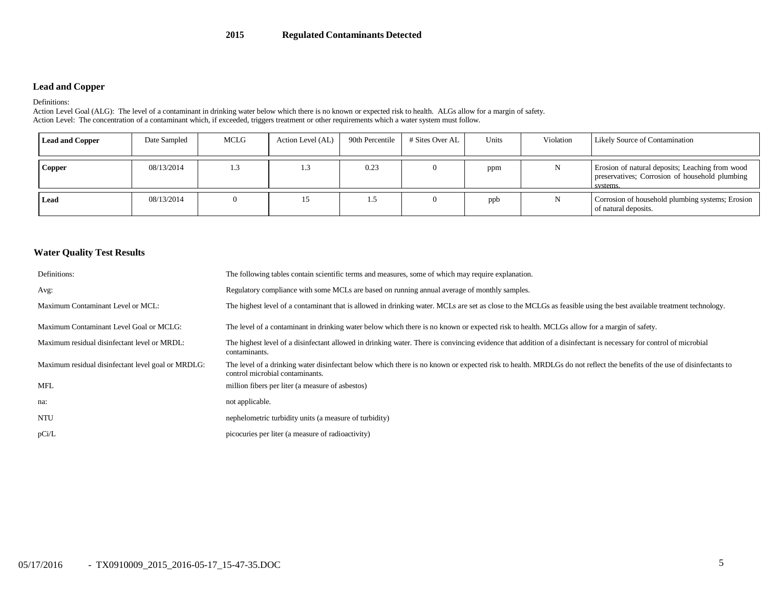### **2015 Regulated Contaminants Detected**

### **Lead and Copper**

#### Definitions:

Action Level Goal (ALG): The level of a contaminant in drinking water below which there is no known or expected risk to health. ALGs allow for a margin of safety. Action Level: The concentration of a contaminant which, if exceeded, triggers treatment or other requirements which a water system must follow.

| <b>Lead and Copper</b> | Date Sampled | MCLG | Action Level (AL) | 90th Percentile | # Sites Over AL | Units | Violation | Likely Source of Contamination                                                                                |
|------------------------|--------------|------|-------------------|-----------------|-----------------|-------|-----------|---------------------------------------------------------------------------------------------------------------|
| Copper                 | 08/13/2014   | 1.3  | ر. 1              | 0.23            |                 | ppm   |           | Erosion of natural deposits; Leaching from wood<br>preservatives; Corrosion of household plumbing<br>systems. |
| Lead                   | 08/13/2014   |      | 15                | 1.5             |                 | ppb   |           | Corrosion of household plumbing systems; Erosion<br>of natural deposits.                                      |

### **Water Quality Test Results**

| Definitions:                                       | The following tables contain scientific terms and measures, some of which may require explanation.                                                                                                        |
|----------------------------------------------------|-----------------------------------------------------------------------------------------------------------------------------------------------------------------------------------------------------------|
| Avg:                                               | Regulatory compliance with some MCLs are based on running annual average of monthly samples.                                                                                                              |
| Maximum Contaminant Level or MCL:                  | The highest level of a contaminant that is allowed in drinking water. MCLs are set as close to the MCLGs as feasible using the best available treatment technology.                                       |
| Maximum Contaminant Level Goal or MCLG:            | The level of a contaminant in drinking water below which there is no known or expected risk to health. MCLGs allow for a margin of safety.                                                                |
| Maximum residual disinfectant level or MRDL:       | The highest level of a disinfectant allowed in drinking water. There is convincing evidence that addition of a disinfectant is necessary for control of microbial<br>contaminants.                        |
| Maximum residual disinfectant level goal or MRDLG: | The level of a drinking water disinfectant below which there is no known or expected risk to health. MRDLGs do not reflect the benefits of the use of disinfectants to<br>control microbial contaminants. |
| MFL                                                | million fibers per liter (a measure of asbestos)                                                                                                                                                          |
| na:                                                | not applicable.                                                                                                                                                                                           |
| NTU                                                | nephelometric turbidity units (a measure of turbidity)                                                                                                                                                    |
| pCi/L                                              | picocuries per liter (a measure of radioactivity)                                                                                                                                                         |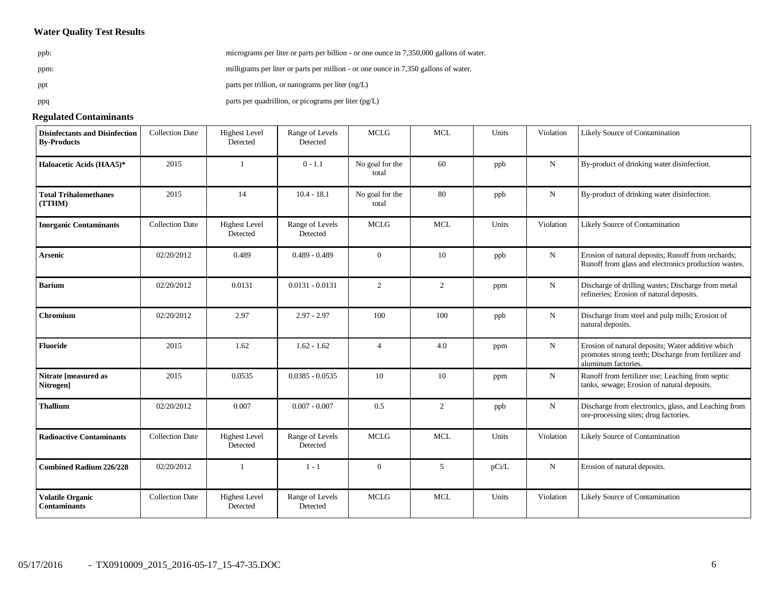## **Water Quality Test Results**

| ppb: | micrograms per liter or parts per billion - or one ounce in 7,350,000 gallons of water. |
|------|-----------------------------------------------------------------------------------------|
| ppm: | milligrams per liter or parts per million - or one ounce in 7,350 gallons of water.     |
| ppt  | parts per trillion, or nanograms per liter $(ng/L)$                                     |
| ppq  | parts per quadrillion, or picograms per liter (pg/L)                                    |

#### **Regulated Contaminants**

| <b>Disinfectants and Disinfection</b><br><b>By-Products</b> | <b>Collection Date</b> | <b>Highest Level</b><br>Detected | Range of Levels<br>Detected | <b>MCLG</b>              | <b>MCL</b> | Units | Violation   | Likely Source of Contamination                                                                                                   |
|-------------------------------------------------------------|------------------------|----------------------------------|-----------------------------|--------------------------|------------|-------|-------------|----------------------------------------------------------------------------------------------------------------------------------|
| Haloacetic Acids (HAA5)*                                    | 2015                   |                                  | $0 - 1.1$                   | No goal for the<br>total | 60         | ppb   | N           | By-product of drinking water disinfection.                                                                                       |
| <b>Total Trihalomethanes</b><br>(TTHM)                      | 2015                   | 14                               | $10.4 - 18.1$               | No goal for the<br>total | 80         | ppb   | $\mathbf N$ | By-product of drinking water disinfection.                                                                                       |
| <b>Inorganic Contaminants</b>                               | <b>Collection Date</b> | <b>Highest Level</b><br>Detected | Range of Levels<br>Detected | <b>MCLG</b>              | <b>MCL</b> | Units | Violation   | Likely Source of Contamination                                                                                                   |
| <b>Arsenic</b>                                              | 02/20/2012             | 0.489                            | $0.489 - 0.489$             | $\overline{0}$           | 10         | ppb   | $\mathbf N$ | Erosion of natural deposits; Runoff from orchards;<br>Runoff from glass and electronics production wastes.                       |
| <b>Barium</b>                                               | 02/20/2012             | 0.0131                           | $0.0131 - 0.0131$           | $\overline{2}$           | 2          | ppm   | $\mathbf N$ | Discharge of drilling wastes; Discharge from metal<br>refineries; Erosion of natural deposits.                                   |
| Chromium                                                    | 02/20/2012             | 2.97                             | $2.97 - 2.97$               | 100                      | 100        | ppb   | N           | Discharge from steel and pulp mills; Erosion of<br>natural deposits.                                                             |
| <b>Fluoride</b>                                             | 2015                   | 1.62                             | $1.62 - 1.62$               | $\overline{4}$           | 4.0        | ppm   | $\mathbf N$ | Erosion of natural deposits; Water additive which<br>promotes strong teeth; Discharge from fertilizer and<br>aluminum factories. |
| Nitrate [measured as<br>Nitrogen]                           | 2015                   | 0.0535                           | $0.0385 - 0.0535$           | 10                       | 10         | ppm   | $\mathbf N$ | Runoff from fertilizer use; Leaching from septic<br>tanks, sewage; Erosion of natural deposits.                                  |
| <b>Thallium</b>                                             | 02/20/2012             | 0.007                            | $0.007 - 0.007$             | 0.5                      | 2          | ppb   | $\mathbf N$ | Discharge from electronics, glass, and Leaching from<br>ore-processing sites; drug factories.                                    |
| <b>Radioactive Contaminants</b>                             | <b>Collection Date</b> | <b>Highest Level</b><br>Detected | Range of Levels<br>Detected | <b>MCLG</b>              | <b>MCL</b> | Units | Violation   | Likely Source of Contamination                                                                                                   |
| <b>Combined Radium 226/228</b>                              | 02/20/2012             | $\overline{1}$                   | $1 - 1$                     | $\overline{0}$           | 5          | pCi/L | $\mathbf N$ | Erosion of natural deposits.                                                                                                     |
| <b>Volatile Organic</b><br><b>Contaminants</b>              | <b>Collection Date</b> | <b>Highest Level</b><br>Detected | Range of Levels<br>Detected | <b>MCLG</b>              | <b>MCL</b> | Units | Violation   | Likely Source of Contamination                                                                                                   |